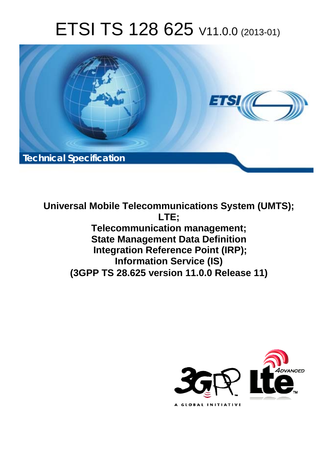# ETSI TS 128 625 V11.0.0 (2013-01)



**Universal Mobile Telecommunications System (UMTS); LTE; Telecommunication management; State Management Data Definition Integration Reference Point (IRP); Information Service (IS) (3GPP TS 28.625 version 11.0.0 Release 11)** 

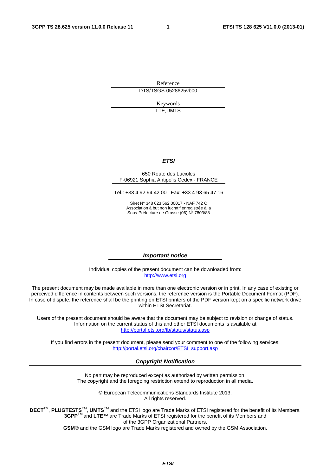Reference DTS/TSGS-0528625vb00

> Keywords LTE,UMTS

#### *ETSI*

#### 650 Route des Lucioles F-06921 Sophia Antipolis Cedex - FRANCE

Tel.: +33 4 92 94 42 00 Fax: +33 4 93 65 47 16

Siret N° 348 623 562 00017 - NAF 742 C Association à but non lucratif enregistrée à la Sous-Préfecture de Grasse (06) N° 7803/88

#### *Important notice*

Individual copies of the present document can be downloaded from: [http://www.etsi.org](http://www.etsi.org/)

The present document may be made available in more than one electronic version or in print. In any case of existing or perceived difference in contents between such versions, the reference version is the Portable Document Format (PDF). In case of dispute, the reference shall be the printing on ETSI printers of the PDF version kept on a specific network drive within ETSI Secretariat.

Users of the present document should be aware that the document may be subject to revision or change of status. Information on the current status of this and other ETSI documents is available at <http://portal.etsi.org/tb/status/status.asp>

If you find errors in the present document, please send your comment to one of the following services: [http://portal.etsi.org/chaircor/ETSI\\_support.asp](http://portal.etsi.org/chaircor/ETSI_support.asp)

#### *Copyright Notification*

No part may be reproduced except as authorized by written permission. The copyright and the foregoing restriction extend to reproduction in all media.

> © European Telecommunications Standards Institute 2013. All rights reserved.

DECT<sup>™</sup>, PLUGTESTS<sup>™</sup>, UMTS<sup>™</sup> and the ETSI logo are Trade Marks of ETSI registered for the benefit of its Members. **3GPP**TM and **LTE**™ are Trade Marks of ETSI registered for the benefit of its Members and of the 3GPP Organizational Partners.

**GSM**® and the GSM logo are Trade Marks registered and owned by the GSM Association.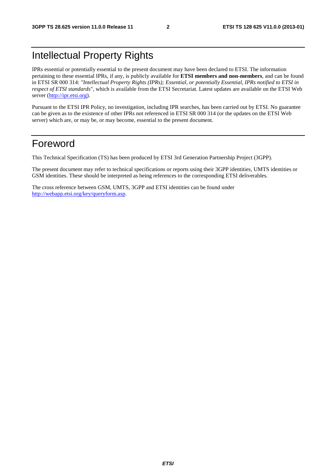## Intellectual Property Rights

IPRs essential or potentially essential to the present document may have been declared to ETSI. The information pertaining to these essential IPRs, if any, is publicly available for **ETSI members and non-members**, and can be found in ETSI SR 000 314: *"Intellectual Property Rights (IPRs); Essential, or potentially Essential, IPRs notified to ETSI in respect of ETSI standards"*, which is available from the ETSI Secretariat. Latest updates are available on the ETSI Web server [\(http://ipr.etsi.org](http://webapp.etsi.org/IPR/home.asp)).

Pursuant to the ETSI IPR Policy, no investigation, including IPR searches, has been carried out by ETSI. No guarantee can be given as to the existence of other IPRs not referenced in ETSI SR 000 314 (or the updates on the ETSI Web server) which are, or may be, or may become, essential to the present document.

### Foreword

This Technical Specification (TS) has been produced by ETSI 3rd Generation Partnership Project (3GPP).

The present document may refer to technical specifications or reports using their 3GPP identities, UMTS identities or GSM identities. These should be interpreted as being references to the corresponding ETSI deliverables.

The cross reference between GSM, UMTS, 3GPP and ETSI identities can be found under <http://webapp.etsi.org/key/queryform.asp>.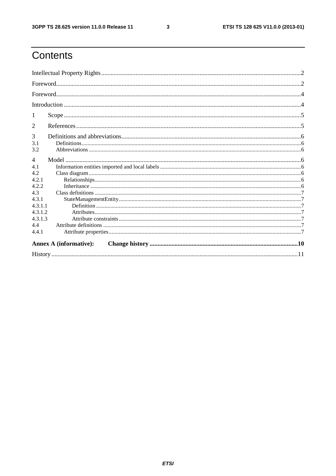$\mathbf{3}$ 

# Contents

| 1                             |  |  |  |  |  |
|-------------------------------|--|--|--|--|--|
| 2                             |  |  |  |  |  |
| 3<br>3.1<br>3.2               |  |  |  |  |  |
| $\overline{4}$                |  |  |  |  |  |
| 4.1                           |  |  |  |  |  |
| 4.2                           |  |  |  |  |  |
| 4.2.1                         |  |  |  |  |  |
| 4.2.2                         |  |  |  |  |  |
| 4.3                           |  |  |  |  |  |
| 4.3.1                         |  |  |  |  |  |
| 4.3.1.1                       |  |  |  |  |  |
| 4.3.1.2<br>4.3.1.3            |  |  |  |  |  |
| 4.4                           |  |  |  |  |  |
| 4.4.1                         |  |  |  |  |  |
| <b>Annex A (informative):</b> |  |  |  |  |  |
|                               |  |  |  |  |  |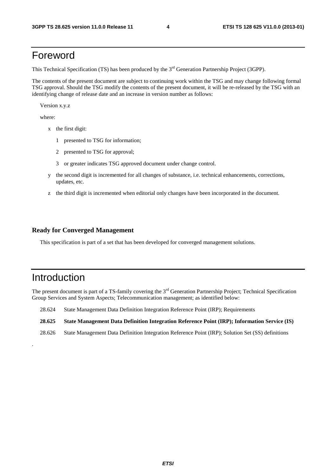### Foreword

This Technical Specification (TS) has been produced by the 3<sup>rd</sup> Generation Partnership Project (3GPP).

The contents of the present document are subject to continuing work within the TSG and may change following formal TSG approval. Should the TSG modify the contents of the present document, it will be re-released by the TSG with an identifying change of release date and an increase in version number as follows:

Version x.y.z

where:

- x the first digit:
	- 1 presented to TSG for information;
	- 2 presented to TSG for approval;
	- 3 or greater indicates TSG approved document under change control.
- y the second digit is incremented for all changes of substance, i.e. technical enhancements, corrections, updates, etc.
- z the third digit is incremented when editorial only changes have been incorporated in the document.

#### **Ready for Converged Management**

This specification is part of a set that has been developed for converged management solutions.

### Introduction

.

The present document is part of a TS-family covering the 3<sup>rd</sup> Generation Partnership Project; Technical Specification Group Services and System Aspects; Telecommunication management; as identified below:

- 28.624 State Management Data Definition Integration Reference Point (IRP); Requirements
- **28.625 State Management Data Definition Integration Reference Point (IRP); Information Service (IS)**
- 28.626 State Management Data Definition Integration Reference Point (IRP); Solution Set (SS) definitions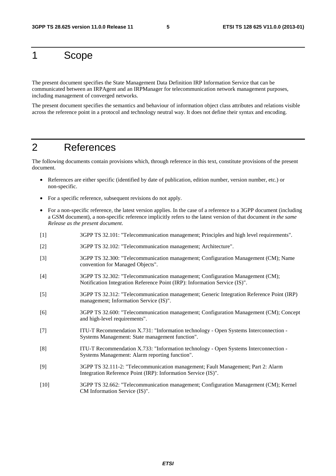### 1 Scope

The present document specifies the State Management Data Definition IRP Information Service that can be communicated between an IRPAgent and an IRPManager for telecommunication network management purposes, including management of converged networks.

The present document specifies the semantics and behaviour of information object class attributes and relations visible across the reference point in a protocol and technology neutral way. It does not define their syntax and encoding.

### 2 References

The following documents contain provisions which, through reference in this text, constitute provisions of the present document.

- References are either specific (identified by date of publication, edition number, version number, etc.) or non-specific.
- For a specific reference, subsequent revisions do not apply.
- For a non-specific reference, the latest version applies. In the case of a reference to a 3GPP document (including a GSM document), a non-specific reference implicitly refers to the latest version of that document *in the same Release as the present document*.
- [1] 3GPP TS 32.101: "Telecommunication management; Principles and high level requirements".
- [2] 3GPP TS 32.102: "Telecommunication management; Architecture".
- [3] 3GPP TS 32.300: "Telecommunication management; Configuration Management (CM); Name convention for Managed Objects".
- [4] 3GPP TS 32.302: "Telecommunication management; Configuration Management (CM); Notification Integration Reference Point (IRP): Information Service (IS)".
- [5] 3GPP TS 32.312: "Telecommunication management; Generic Integration Reference Point (IRP) management; Information Service (IS)".
- [6] 3GPP TS 32.600: "Telecommunication management; Configuration Management (CM); Concept and high-level requirements".
- [7] ITU-T Recommendation X.731: "Information technology Open Systems Interconnection Systems Management: State management function".
- [8] ITU-T Recommendation X.733: "Information technology Open Systems Interconnection Systems Management: Alarm reporting function".
- [9] 3GPP TS 32.111-2: "Telecommunication management; Fault Management; Part 2: Alarm Integration Reference Point (IRP): Information Service (IS)".
- [10] 3GPP TS 32.662: "Telecommunication management; Configuration Management (CM); Kernel CM Information Service (IS)".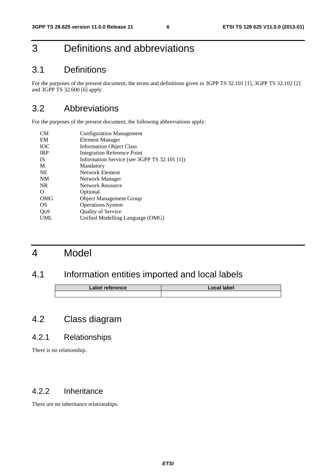# 3 Definitions and abbreviations

#### 3.1 Definitions

For the purposes of the present document, the terms and definitions given in 3GPP TS 32.101 [1], 3GPP TS 32.102 [2] and 3GPP TS 32.600 [6] apply.

### 3.2 Abbreviations

For the purposes of the present document, the following abbreviations apply:

| <b>Configuration Management</b>              |
|----------------------------------------------|
| Element Manager                              |
| <b>Information Object Class</b>              |
| <b>Integration Reference Point</b>           |
| Information Service (see 3GPP TS 32.101 [1]) |
| Mandatory                                    |
| Network Element                              |
| Network Manager                              |
| <b>Network Resource</b>                      |
| Optional                                     |
| <b>Object Management Group</b>               |
| <b>Operations System</b>                     |
| <b>Quality of Service</b>                    |
| Unified Modelling Language (OMG)             |
|                                              |

### 4 Model

### 4.1 Information entities imported and local labels

| Label reference | Local label |
|-----------------|-------------|
|                 |             |

### 4.2 Class diagram

#### 4.2.1 Relationships

There is no relationship.

#### 4.2.2 Inheritance

There are no inheritance relationships.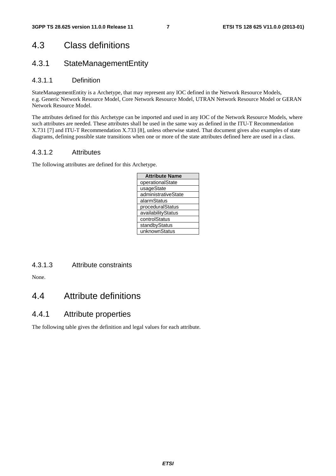### 4.3 Class definitions

#### 4.3.1 StateManagementEntity

#### 4.3.1.1 Definition

StateManagementEntity is a Archetype, that may represent any IOC defined in the Network Resource Models, e.g. Generic Network Resource Model, Core Network Resource Model, UTRAN Network Resource Model or GERAN Network Resource Model.

The attributes defined for this Archetype can be imported and used in any IOC of the Network Resource Models, where such attributes are needed. These attributes shall be used in the same way as defined in the ITU-T Recommendation X.731 [7] and ITU-T Recommendation X.733 [8], unless otherwise stated. That document gives also examples of state diagrams, defining possible state transitions when one or more of the state attributes defined here are used in a class.

#### 4.3.1.2 Attributes

The following attributes are defined for this Archetype.

| <b>Attribute Name</b> |  |  |  |  |
|-----------------------|--|--|--|--|
| operationalState      |  |  |  |  |
| usageState            |  |  |  |  |
| administrativeState   |  |  |  |  |
| alarmStatus           |  |  |  |  |
| proceduralStatus      |  |  |  |  |
| availabilityStatus    |  |  |  |  |
| controlStatus         |  |  |  |  |
| standbyStatus         |  |  |  |  |
| unknownStatus         |  |  |  |  |

4.3.1.3 Attribute constraints

None.

#### 4.4 Attribute definitions

#### 4.4.1 Attribute properties

The following table gives the definition and legal values for each attribute.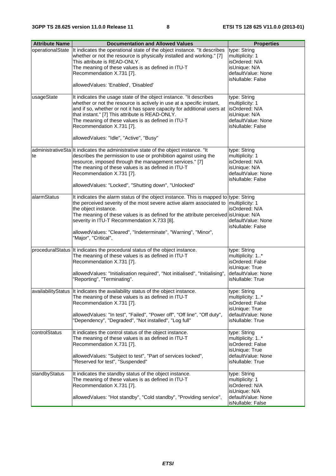| <b>Attribute Name</b> | <b>Documentation and Allowed Values</b>                                                                                                                                                                                                                                                                                                                                                                                               | <b>Properties</b>                                                                                                |
|-----------------------|---------------------------------------------------------------------------------------------------------------------------------------------------------------------------------------------------------------------------------------------------------------------------------------------------------------------------------------------------------------------------------------------------------------------------------------|------------------------------------------------------------------------------------------------------------------|
| operationalState      | It indicates the operational state of the object instance. "It describes<br>whether or not the resource is physically installed and working." [7]<br>This attribute is READ-ONLY.<br>The meaning of these values is as defined in ITU-T<br>Recommendation X.731 [7].<br>allowedValues: 'Enabled', 'Disabled'                                                                                                                          | type: String<br>multiplicity: 1<br>isOrdered: N/A<br>isUnique: N/A<br>defaultValue: None<br>isNullable: False    |
| usageState            | It indicates the usage state of the object instance. "It describes<br>whether or not the resource is actively in use at a specific instant,<br>and if so, whether or not it has spare capacity for additional users at<br>that instant." [7] This attribute is READ-ONLY.<br>The meaning of these values is as defined in ITU-T<br>Recommendation X.731 [7].<br>allowedValues: "Idle", "Active", "Busy"                               | type: String<br>multiplicity: 1<br>isOrdered: N/A<br>isUnique: N/A<br>defaultValue: None<br>isNullable: False    |
| te                    | administrativeSta It indicates the administrative state of the object instance. "It<br>describes the permission to use or prohibition against using the<br>resource, imposed through the management services." [7]<br>The meaning of these values is as defined in ITU-T<br>Recommendation X.731 [7].<br>allowedValues: "Locked", "Shutting down", "Unlocked"                                                                         | type: String<br>multiplicity: 1<br>isOrdered: N/A<br>isUnique: N/A<br>defaultValue: None<br>isNullable: False    |
| alarmStatus           | It indicates the alarm status of the object instance. This is mapped to type: String<br>the perceived severity of the most severe active alarm associated to multiplicity: 1<br>the object instance.<br>The meaning of these values is as defined for the attribute perceived is Unique: N/A<br>severity in ITU-T Recommendation X.733 [8].<br>allowedValues: "Cleared", "Indeterminate", "Warning", "Minor",<br>"Major", "Critical", | isOrdered: N/A<br>defaultValue: None<br>isNullable: False                                                        |
|                       | proceduralStatus It indicates the procedural status of the object instance.<br>The meaning of these values is as defined in ITU-T<br>Recommendation X.731 [7].<br>allowedValues: "Initialisation required", "Not initialised", "Initialising",<br>"Reporting", "Terminating".                                                                                                                                                         | type: String<br>multiplicity: 1*<br>isOrdered: False<br>isUnique: True<br>defaultValue: None<br>isNullable: True |
|                       | availabilityStatus  It indicates the availability status of the object instance.<br>The meaning of these values is as defined in ITU-T<br>Recommendation X.731 [7].<br>allowedValues: "In test", "Failed", "Power off", "Off line", "Off duty",<br>"Dependency", "Degraded", "Not installed", "Log full"                                                                                                                              | type: String<br>multiplicity: 1*<br>isOrdered: False<br>isUnique: True<br>defaultValue: None<br>isNullable: True |
| controlStatus         | It indicates the control status of the object instance.<br>The meaning of these values is as defined in ITU-T<br>Recommendation X.731 [7].<br>allowedValues: "Subject to test", "Part of services locked",<br>"Reserved for test", "Suspended"                                                                                                                                                                                        | type: String<br>multiplicity: 1*<br>isOrdered: False<br>isUnique: True<br>defaultValue: None<br>isNullable: True |
| standbyStatus         | It indicates the standby status of the object instance.<br>The meaning of these values is as defined in ITU-T<br>Recommendation X.731 [7].<br>allowedValues: "Hot standby", "Cold standby", "Providing service",                                                                                                                                                                                                                      | type: String<br>multiplicity: 1<br>isOrdered: N/A<br>isUnique: N/A<br>defaultValue: None                         |
|                       |                                                                                                                                                                                                                                                                                                                                                                                                                                       | isNullable: False                                                                                                |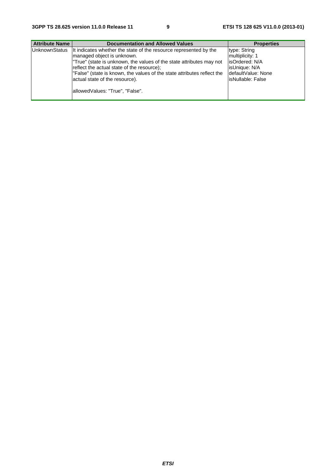| <b>Attribute Name</b> | <b>Documentation and Allowed Values</b>                                                                                                                                                                                                                                                                                                                               | <b>Properties</b>                                                                                                |
|-----------------------|-----------------------------------------------------------------------------------------------------------------------------------------------------------------------------------------------------------------------------------------------------------------------------------------------------------------------------------------------------------------------|------------------------------------------------------------------------------------------------------------------|
| <b>UnknownStatus</b>  | It indicates whether the state of the resource represented by the<br>Imanaged object is unknown.<br>True" (state is unknown, the values of the state attributes may not<br>reflect the actual state of the resource);<br>"False" (state is known, the values of the state attributes reflect the<br>actual state of the resource).<br>allowedValues: "True", "False". | type: String<br>multiplicity: 1<br>lisOrdered: N/A<br>isUnique: N/A<br>IdefaultValue: None<br>lisNullable: False |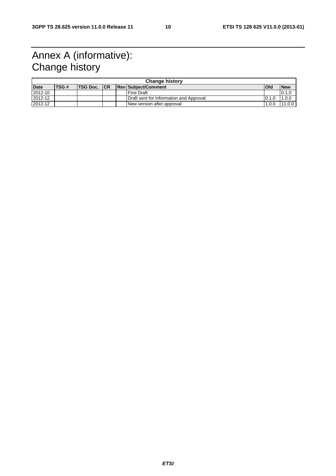# Annex A (informative): Change history

| <b>Change history</b> |              |              |  |  |                                         |              |            |
|-----------------------|--------------|--------------|--|--|-----------------------------------------|--------------|------------|
| <b>Date</b>           | <b>ITSG#</b> | TSG Doc.  CR |  |  | <b>ReviSubiect/Comment</b>              | <b>IOI</b> d | <b>New</b> |
| 2012-10               |              |              |  |  | <b>First Draft</b>                      |              | 0.1.0      |
| 2012-12               |              |              |  |  | Draft sent for Information and Approval | 0.1.0        | 1.0.0      |
| 2012-12               |              |              |  |  | New version after approval              | 1.0.0        | 11.0.0     |